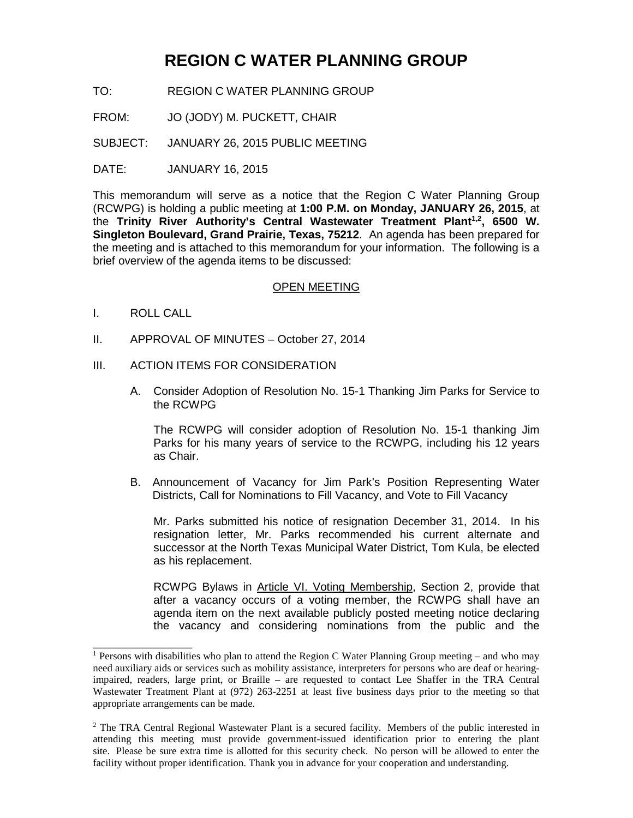## **REGION C WATER PLANNING GROUP**

- TO: REGION C WATER PLANNING GROUP
- FROM: JO (JODY) M. PUCKETT, CHAIR

SUBJECT: JANUARY 26, 2015 PUBLIC MEETING

DATE: **JANUARY 16, 2015** 

This memorandum will serve as a notice that the Region C Water Planning Group (RCWPG) is holding a public meeting at **1:00 P.M. on Monday, JANUARY 26, 2015**, at the Trinity River Authority's Central Wastewater Treatment Plant<sup>1,2</sup>, 6500 W. **Singleton Boulevard, Grand Prairie, Texas, 75212**. An agenda has been prepared for the meeting and is attached to this memorandum for your information. The following is a brief overview of the agenda items to be discussed:

## OPEN MEETING

I. ROLL CALL

\_\_\_\_\_\_\_\_\_\_\_\_\_\_\_\_

- II. APPROVAL OF MINUTES October 27, 2014
- III. ACTION ITEMS FOR CONSIDERATION
	- A. Consider Adoption of Resolution No. 15-1 Thanking Jim Parks for Service to the RCWPG

The RCWPG will consider adoption of Resolution No. 15-1 thanking Jim Parks for his many years of service to the RCWPG, including his 12 years as Chair.

B. Announcement of Vacancy for Jim Park's Position Representing Water Districts, Call for Nominations to Fill Vacancy, and Vote to Fill Vacancy

Mr. Parks submitted his notice of resignation December 31, 2014. In his resignation letter, Mr. Parks recommended his current alternate and successor at the North Texas Municipal Water District, Tom Kula, be elected as his replacement.

RCWPG Bylaws in Article VI. Voting Membership, Section 2, provide that after a vacancy occurs of a voting member, the RCWPG shall have an agenda item on the next available publicly posted meeting notice declaring the vacancy and considering nominations from the public and the

<sup>&</sup>lt;sup>1</sup> Persons with disabilities who plan to attend the Region C Water Planning Group meeting – and who may need auxiliary aids or services such as mobility assistance, interpreters for persons who are deaf or hearingimpaired, readers, large print, or Braille – are requested to contact Lee Shaffer in the TRA Central Wastewater Treatment Plant at (972) 263-2251 at least five business days prior to the meeting so that appropriate arrangements can be made.

 $2$  The TRA Central Regional Wastewater Plant is a secured facility. Members of the public interested in attending this meeting must provide government-issued identification prior to entering the plant site. Please be sure extra time is allotted for this security check. No person will be allowed to enter the facility without proper identification. Thank you in advance for your cooperation and understanding.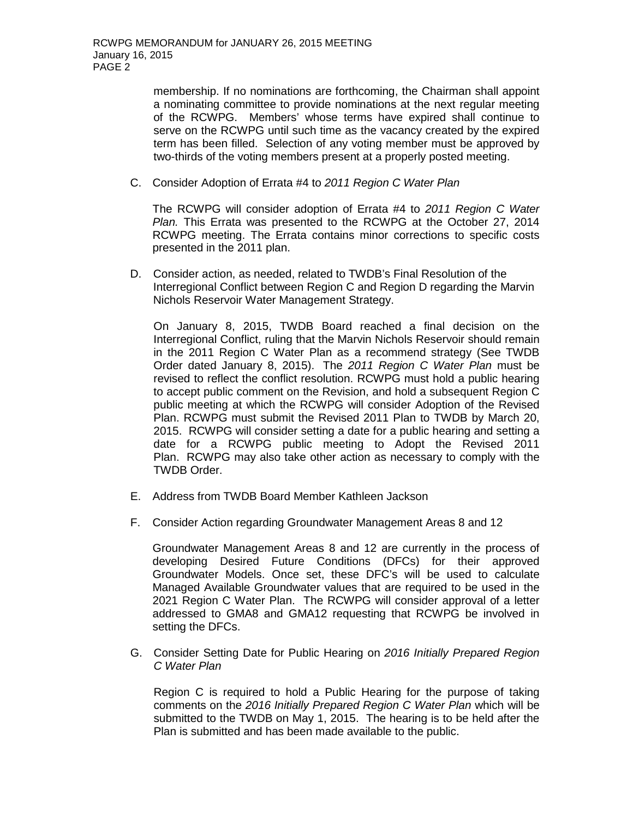membership. If no nominations are forthcoming, the Chairman shall appoint a nominating committee to provide nominations at the next regular meeting of the RCWPG. Members' whose terms have expired shall continue to serve on the RCWPG until such time as the vacancy created by the expired term has been filled. Selection of any voting member must be approved by two-thirds of the voting members present at a properly posted meeting.

C. Consider Adoption of Errata #4 to *2011 Region C Water Plan*

The RCWPG will consider adoption of Errata #4 to *2011 Region C Water Plan.* This Errata was presented to the RCWPG at the October 27, 2014 RCWPG meeting. The Errata contains minor corrections to specific costs presented in the 2011 plan.

D. Consider action, as needed, related to TWDB's Final Resolution of the Interregional Conflict between Region C and Region D regarding the Marvin Nichols Reservoir Water Management Strategy.

On January 8, 2015, TWDB Board reached a final decision on the Interregional Conflict, ruling that the Marvin Nichols Reservoir should remain in the 2011 Region C Water Plan as a recommend strategy (See TWDB Order dated January 8, 2015). The *2011 Region C Water Plan* must be revised to reflect the conflict resolution. RCWPG must hold a public hearing to accept public comment on the Revision, and hold a subsequent Region C public meeting at which the RCWPG will consider Adoption of the Revised Plan. RCWPG must submit the Revised 2011 Plan to TWDB by March 20, 2015. RCWPG will consider setting a date for a public hearing and setting a date for a RCWPG public meeting to Adopt the Revised 2011 Plan. RCWPG may also take other action as necessary to comply with the TWDB Order.

- E. Address from TWDB Board Member Kathleen Jackson
- F. Consider Action regarding Groundwater Management Areas 8 and 12

Groundwater Management Areas 8 and 12 are currently in the process of developing Desired Future Conditions (DFCs) for their approved Groundwater Models. Once set, these DFC's will be used to calculate Managed Available Groundwater values that are required to be used in the 2021 Region C Water Plan. The RCWPG will consider approval of a letter addressed to GMA8 and GMA12 requesting that RCWPG be involved in setting the DFCs.

G. Consider Setting Date for Public Hearing on *2016 Initially Prepared Region C Water Plan*

Region C is required to hold a Public Hearing for the purpose of taking comments on the *2016 Initially Prepared Region C Water Plan* which will be submitted to the TWDB on May 1, 2015. The hearing is to be held after the Plan is submitted and has been made available to the public.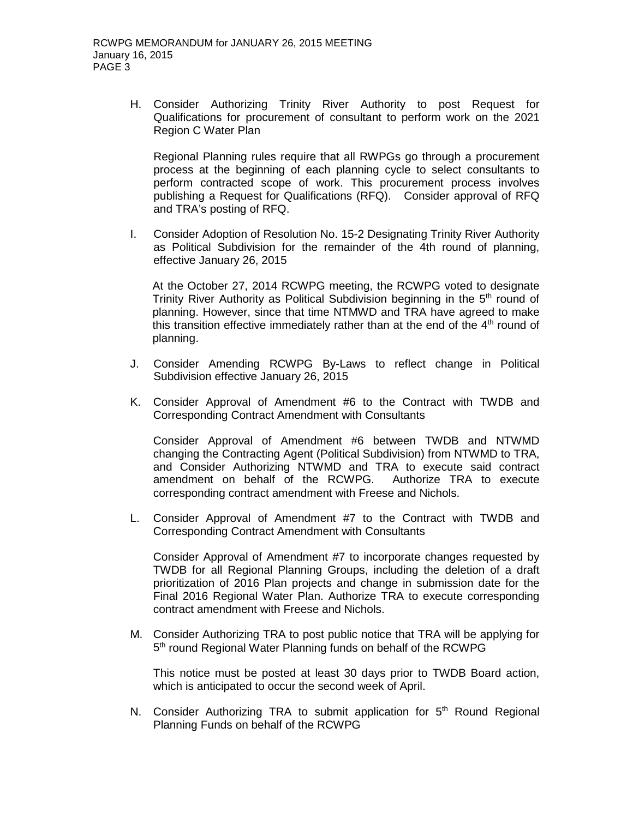H. Consider Authorizing Trinity River Authority to post Request for Qualifications for procurement of consultant to perform work on the 2021 Region C Water Plan

Regional Planning rules require that all RWPGs go through a procurement process at the beginning of each planning cycle to select consultants to perform contracted scope of work. This procurement process involves publishing a Request for Qualifications (RFQ). Consider approval of RFQ and TRA's posting of RFQ.

I. Consider Adoption of Resolution No. 15-2 Designating Trinity River Authority as Political Subdivision for the remainder of the 4th round of planning, effective January 26, 2015

At the October 27, 2014 RCWPG meeting, the RCWPG voted to designate Trinity River Authority as Political Subdivision beginning in the  $5<sup>th</sup>$  round of planning. However, since that time NTMWD and TRA have agreed to make this transition effective immediately rather than at the end of the  $4<sup>th</sup>$  round of planning.

- J. Consider Amending RCWPG By-Laws to reflect change in Political Subdivision effective January 26, 2015
- K. Consider Approval of Amendment #6 to the Contract with TWDB and Corresponding Contract Amendment with Consultants

Consider Approval of Amendment #6 between TWDB and NTWMD changing the Contracting Agent (Political Subdivision) from NTWMD to TRA, and Consider Authorizing NTWMD and TRA to execute said contract amendment on behalf of the RCWPG. Authorize TRA to execute corresponding contract amendment with Freese and Nichols.

L. Consider Approval of Amendment #7 to the Contract with TWDB and Corresponding Contract Amendment with Consultants

Consider Approval of Amendment #7 to incorporate changes requested by TWDB for all Regional Planning Groups, including the deletion of a draft prioritization of 2016 Plan projects and change in submission date for the Final 2016 Regional Water Plan. Authorize TRA to execute corresponding contract amendment with Freese and Nichols.

M. Consider Authorizing TRA to post public notice that TRA will be applying for 5<sup>th</sup> round Regional Water Planning funds on behalf of the RCWPG

This notice must be posted at least 30 days prior to TWDB Board action, which is anticipated to occur the second week of April.

N. Consider Authorizing TRA to submit application for  $5<sup>th</sup>$  Round Regional Planning Funds on behalf of the RCWPG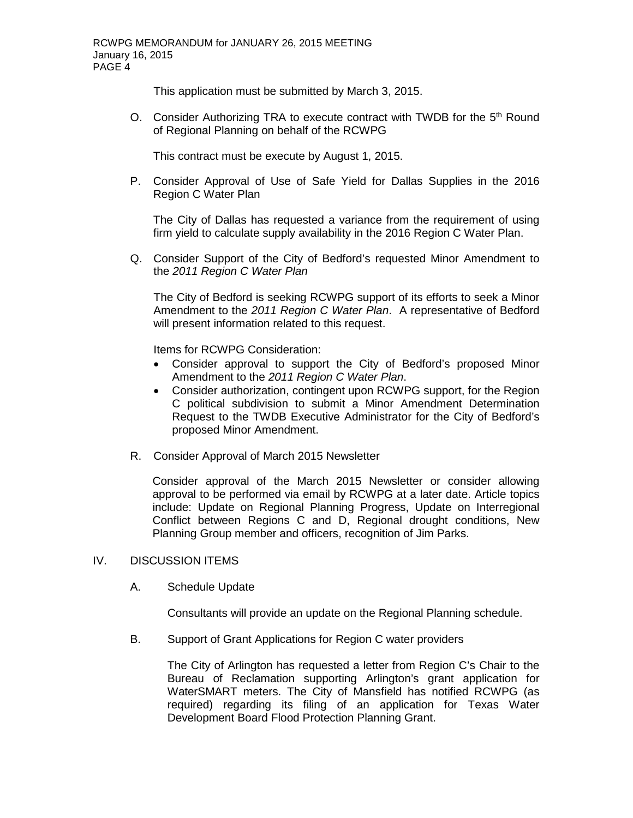This application must be submitted by March 3, 2015.

O. Consider Authorizing TRA to execute contract with TWDB for the  $5<sup>th</sup>$  Round of Regional Planning on behalf of the RCWPG

This contract must be execute by August 1, 2015.

P. Consider Approval of Use of Safe Yield for Dallas Supplies in the 2016 Region C Water Plan

The City of Dallas has requested a variance from the requirement of using firm yield to calculate supply availability in the 2016 Region C Water Plan.

Q. Consider Support of the City of Bedford's requested Minor Amendment to the *2011 Region C Water Plan*

The City of Bedford is seeking RCWPG support of its efforts to seek a Minor Amendment to the *2011 Region C Water Plan*. A representative of Bedford will present information related to this request.

Items for RCWPG Consideration:

- Consider approval to support the City of Bedford's proposed Minor Amendment to the *2011 Region C Water Plan*.
- Consider authorization, contingent upon RCWPG support, for the Region C political subdivision to submit a Minor Amendment Determination Request to the TWDB Executive Administrator for the City of Bedford's proposed Minor Amendment.
- R. Consider Approval of March 2015 Newsletter

Consider approval of the March 2015 Newsletter or consider allowing approval to be performed via email by RCWPG at a later date. Article topics include: Update on Regional Planning Progress, Update on Interregional Conflict between Regions C and D, Regional drought conditions, New Planning Group member and officers, recognition of Jim Parks.

## IV. DISCUSSION ITEMS

A. Schedule Update

Consultants will provide an update on the Regional Planning schedule.

B. Support of Grant Applications for Region C water providers

The City of Arlington has requested a letter from Region C's Chair to the Bureau of Reclamation supporting Arlington's grant application for WaterSMART meters. The City of Mansfield has notified RCWPG (as required) regarding its filing of an application for Texas Water Development Board Flood Protection Planning Grant.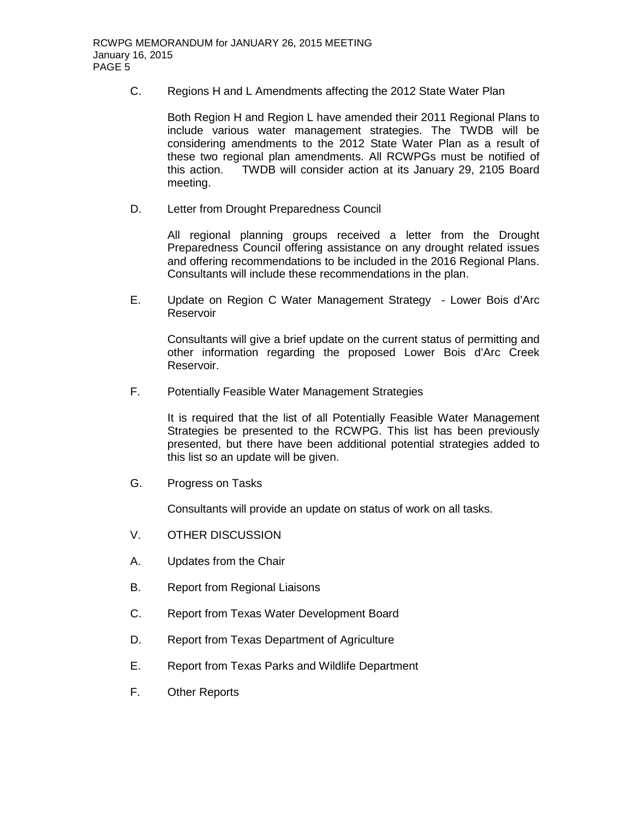C. Regions H and L Amendments affecting the 2012 State Water Plan

Both Region H and Region L have amended their 2011 Regional Plans to include various water management strategies. The TWDB will be considering amendments to the 2012 State Water Plan as a result of these two regional plan amendments. All RCWPGs must be notified of this action. TWDB will consider action at its January 29, 2105 Board meeting.

D. Letter from Drought Preparedness Council

All regional planning groups received a letter from the Drought Preparedness Council offering assistance on any drought related issues and offering recommendations to be included in the 2016 Regional Plans. Consultants will include these recommendations in the plan.

E. Update on Region C Water Management Strategy - Lower Bois d'Arc Reservoir

Consultants will give a brief update on the current status of permitting and other information regarding the proposed Lower Bois d'Arc Creek Reservoir.

F. Potentially Feasible Water Management Strategies

It is required that the list of all Potentially Feasible Water Management Strategies be presented to the RCWPG. This list has been previously presented, but there have been additional potential strategies added to this list so an update will be given.

G. Progress on Tasks

Consultants will provide an update on status of work on all tasks.

- V. OTHER DISCUSSION
- A. Updates from the Chair
- B. Report from Regional Liaisons
- C. Report from Texas Water Development Board
- D. Report from Texas Department of Agriculture
- E. Report from Texas Parks and Wildlife Department
- F. Other Reports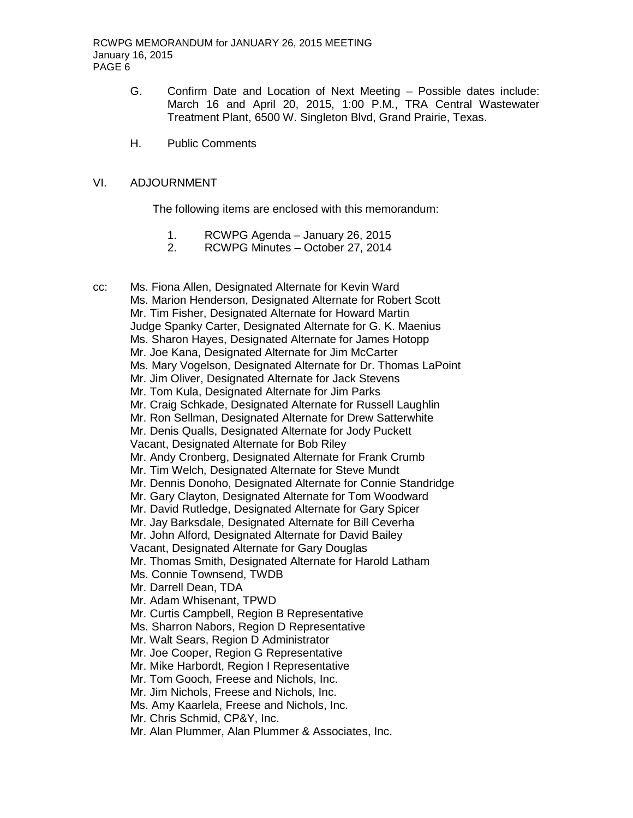- G. Confirm Date and Location of Next Meeting Possible dates include: March 16 and April 20, 2015, 1:00 P.M., TRA Central Wastewater Treatment Plant, 6500 W. Singleton Blvd, Grand Prairie, Texas.
- H. Public Comments

## VI. ADJOURNMENT

The following items are enclosed with this memorandum:

- 1. RCWPG Agenda January 26, 2015<br>2. RCWPG Minutes October 27, 2014
- 2. RCWPG Minutes October 27, 2014

cc: Ms. Fiona Allen, Designated Alternate for Kevin Ward Ms. Marion Henderson, Designated Alternate for Robert Scott Mr. Tim Fisher, Designated Alternate for Howard Martin Judge Spanky Carter, Designated Alternate for G. K. Maenius Ms. Sharon Hayes, Designated Alternate for James Hotopp Mr. Joe Kana, Designated Alternate for Jim McCarter Ms. Mary Vogelson, Designated Alternate for Dr. Thomas LaPoint Mr. Jim Oliver, Designated Alternate for Jack Stevens Mr. Tom Kula, Designated Alternate for Jim Parks Mr. Craig Schkade, Designated Alternate for Russell Laughlin Mr. Ron Sellman, Designated Alternate for Drew Satterwhite Mr. Denis Qualls, Designated Alternate for Jody Puckett Vacant, Designated Alternate for Bob Riley Mr. Andy Cronberg, Designated Alternate for Frank Crumb Mr. Tim Welch, Designated Alternate for Steve Mundt Mr. Dennis Donoho, Designated Alternate for Connie Standridge Mr. Gary Clayton, Designated Alternate for Tom Woodward Mr. David Rutledge, Designated Alternate for Gary Spicer Mr. Jay Barksdale, Designated Alternate for Bill Ceverha Mr. John Alford, Designated Alternate for David Bailey Vacant, Designated Alternate for Gary Douglas Mr. Thomas Smith, Designated Alternate for Harold Latham Ms. Connie Townsend, TWDB Mr. Darrell Dean, TDA Mr. Adam Whisenant, TPWD Mr. Curtis Campbell, Region B Representative Ms. Sharron Nabors, Region D Representative Mr. Walt Sears, Region D Administrator Mr. Joe Cooper, Region G Representative Mr. Mike Harbordt, Region I Representative Mr. Tom Gooch, Freese and Nichols, Inc. Mr. Jim Nichols, Freese and Nichols, Inc. Ms. Amy Kaarlela, Freese and Nichols, Inc. Mr. Chris Schmid, CP&Y, Inc. Mr. Alan Plummer, Alan Plummer & Associates, Inc.